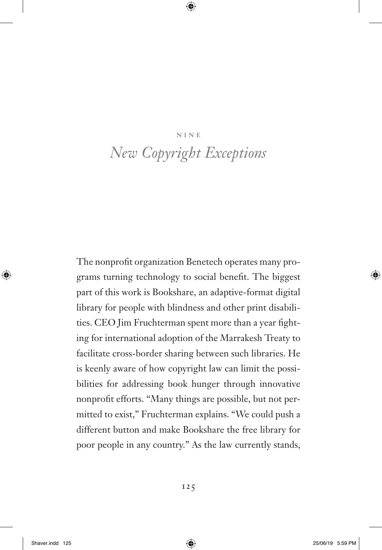#### nine

# *New Copyright Exceptions*

The nonprofit organization Benetech operates many programs turning technology to social benefit. The biggest part of this work is Bookshare, an adaptive-format digital library for people with blindness and other print disabilities. CEO Jim Fruchterman spent more than a year fighting for international adoption of the Marrakesh Treaty to facilitate cross-border sharing between such libraries. He is keenly aware of how copyright law can limit the possibilities for addressing book hunger through innovative nonprofit efforts. "Many things are possible, but not permitted to exist," Fruchterman explains. "We could push a different button and make Bookshare the free library for poor people in any country." As the law currently stands,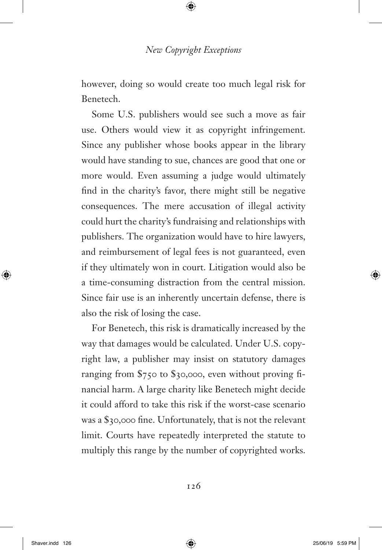however, doing so would create too much legal risk for Benetech.

Some U.S. publishers would see such a move as fair use. Others would view it as copyright infringement. Since any publisher whose books appear in the library would have standing to sue, chances are good that one or more would. Even assuming a judge would ultimately find in the charity's favor, there might still be negative consequences. The mere accusation of illegal activity could hurt the charity's fundraising and relationships with publishers. The organization would have to hire lawyers, and reimbursement of legal fees is not guaranteed, even if they ultimately won in court. Litigation would also be a time-consuming distraction from the central mission. Since fair use is an inherently uncertain defense, there is also the risk of losing the case.

For Benetech, this risk is dramatically increased by the way that damages would be calculated. Under U.S. copyright law, a publisher may insist on statutory damages ranging from  $\frac{2750}{10}$  to  $\frac{20000}{100}$ , even without proving financial harm. A large charity like Benetech might decide it could afford to take this risk if the worst-case scenario was a \$30,000 fine. Unfortunately, that is not the relevant limit. Courts have repeatedly interpreted the statute to multiply this range by the number of copyrighted works.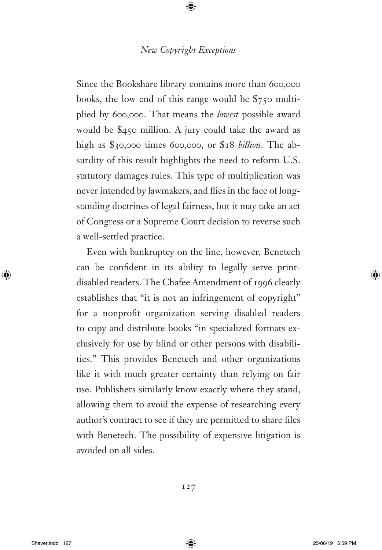Since the Bookshare library contains more than 600,000 books, the low end of this range would be \$750 multiplied by 600,000. That means the *lowest* possible award would be \$450 million. A jury could take the award as high as \$30,000 times 600,000, or \$18 *billion*. The absurdity of this result highlights the need to reform U.S. statutory damages rules. This type of multiplication was never intended by lawmakers, and flies in the face of longstanding doctrines of legal fairness, but it may take an act of Congress or a Supreme Court decision to reverse such a well-settled practice.

Even with bankruptcy on the line, however, Benetech can be confident in its ability to legally serve printdisabled readers. The Chafee Amendment of 1996 clearly establishes that "it is not an infringement of copyright" for a nonprofit organization serving disabled readers to copy and distribute books "in specialized formats exclusively for use by blind or other persons with disabilities." This provides Benetech and other organizations like it with much greater certainty than relying on fair use. Publishers similarly know exactly where they stand, allowing them to avoid the expense of researching every author's contract to see if they are permitted to share files with Benetech. The possibility of expensive litigation is avoided on all sides.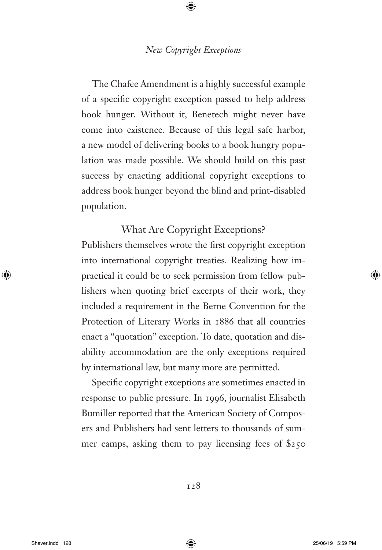The Chafee Amendment is a highly successful example of a specific copyright exception passed to help address book hunger. Without it, Benetech might never have come into existence. Because of this legal safe harbor, a new model of delivering books to a book hungry population was made possible. We should build on this past success by enacting additional copyright exceptions to address book hunger beyond the blind and print-disabled population.

# What Are Copyright Exceptions?

Publishers themselves wrote the first copyright exception into international copyright treaties. Realizing how impractical it could be to seek permission from fellow publishers when quoting brief excerpts of their work, they included a requirement in the Berne Convention for the Protection of Literary Works in 1886 that all countries enact a "quotation" exception. To date, quotation and disability accommodation are the only exceptions required by international law, but many more are permitted.

Specific copyright exceptions are sometimes enacted in response to public pressure. In 1996, journalist Elisabeth Bumiller reported that the American Society of Composers and Publishers had sent letters to thousands of summer camps, asking them to pay licensing fees of \$250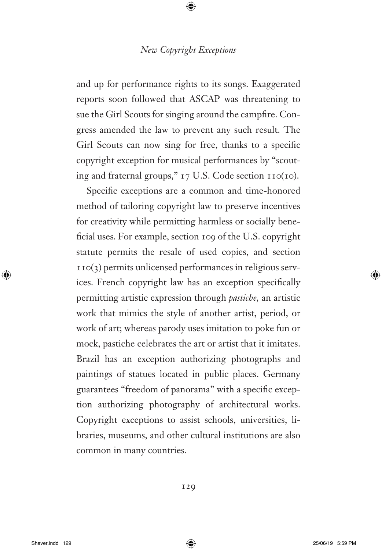and up for performance rights to its songs. Exaggerated reports soon followed that ASCAP was threatening to sue the Girl Scouts for singing around the campfire. Congress amended the law to prevent any such result. The Girl Scouts can now sing for free, thanks to a specific copyright exception for musical performances by "scouting and fraternal groups," 17 U.S. Code section 110(10).

Specific exceptions are a common and time-honored method of tailoring copyright law to preserve incentives for creativity while permitting harmless or socially beneficial uses. For example, section 109 of the U.S. copyright statute permits the resale of used copies, and section  $110(3)$  permits unlicensed performances in religious services. French copyright law has an exception specifically permitting artistic expression through *pastiche,* an artistic work that mimics the style of another artist, period, or work of art; whereas parody uses imitation to poke fun or mock, pastiche celebrates the art or artist that it imitates. Brazil has an exception authorizing photographs and paintings of statues located in public places. Germany guarantees "freedom of panorama" with a specific exception authorizing photography of architectural works. Copyright exceptions to assist schools, universities, libraries, museums, and other cultural institutions are also common in many countries.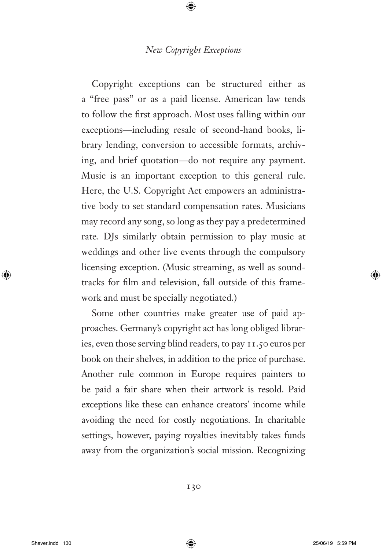Copyright exceptions can be structured either as a "free pass" or as a paid license. American law tends to follow the first approach. Most uses falling within our exceptions—including resale of second-hand books, library lending, conversion to accessible formats, archiving, and brief quotation—do not require any payment. Music is an important exception to this general rule. Here, the U.S. Copyright Act empowers an administrative body to set standard compensation rates. Musicians may record any song, so long as they pay a predetermined rate. DJs similarly obtain permission to play music at weddings and other live events through the compulsory licensing exception. (Music streaming, as well as soundtracks for film and television, fall outside of this framework and must be specially negotiated.)

Some other countries make greater use of paid approaches. Germany's copyright act has long obliged libraries, even those serving blind readers, to pay 11.50 euros per book on their shelves, in addition to the price of purchase. Another rule common in Europe requires painters to be paid a fair share when their artwork is resold. Paid exceptions like these can enhance creators' income while avoiding the need for costly negotiations. In charitable settings, however, paying royalties inevitably takes funds away from the organization's social mission. Recognizing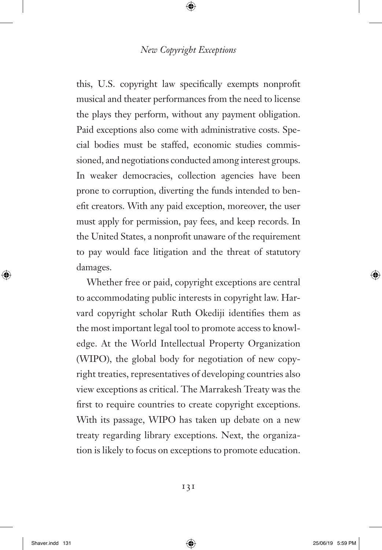this, U.S. copyright law specifically exempts nonprofit musical and theater performances from the need to license the plays they perform, without any payment obligation. Paid exceptions also come with administrative costs. Special bodies must be staffed, economic studies commissioned, and negotiations conducted among interest groups. In weaker democracies, collection agencies have been prone to corruption, diverting the funds intended to benefit creators. With any paid exception, moreover, the user must apply for permission, pay fees, and keep records. In the United States, a nonprofit unaware of the requirement to pay would face litigation and the threat of statutory damages.

Whether free or paid, copyright exceptions are central to accommodating public interests in copyright law. Harvard copyright scholar Ruth Okediji identifies them as the most important legal tool to promote access to knowledge. At the World Intellectual Property Organization (WIPO), the global body for negotiation of new copyright treaties, representatives of developing countries also view exceptions as critical. The Marrakesh Treaty was the first to require countries to create copyright exceptions. With its passage, WIPO has taken up debate on a new treaty regarding library exceptions. Next, the organization is likely to focus on exceptions to promote education.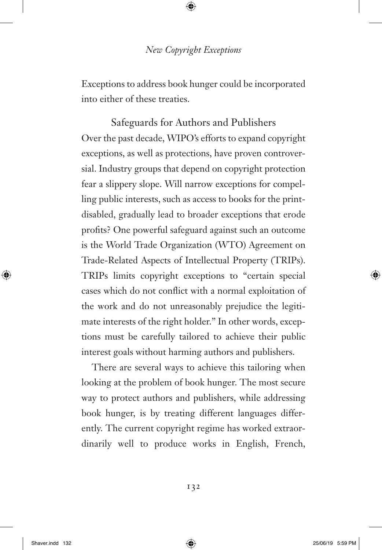Exceptions to address book hunger could be incorporated into either of these treaties.

Safeguards for Authors and Publishers Over the past decade, WIPO's efforts to expand copyright exceptions, as well as protections, have proven controversial. Industry groups that depend on copyright protection fear a slippery slope. Will narrow exceptions for compelling public interests, such as access to books for the printdisabled, gradually lead to broader exceptions that erode profits? One powerful safeguard against such an outcome is the World Trade Organization (WTO) Agreement on Trade-Related Aspects of Intellectual Property (TRIPs). TRIPs limits copyright exceptions to "certain special cases which do not conflict with a normal exploitation of the work and do not unreasonably prejudice the legitimate interests of the right holder." In other words, exceptions must be carefully tailored to achieve their public interest goals without harming authors and publishers.

There are several ways to achieve this tailoring when looking at the problem of book hunger. The most secure way to protect authors and publishers, while addressing book hunger, is by treating different languages differently. The current copyright regime has worked extraordinarily well to produce works in English, French,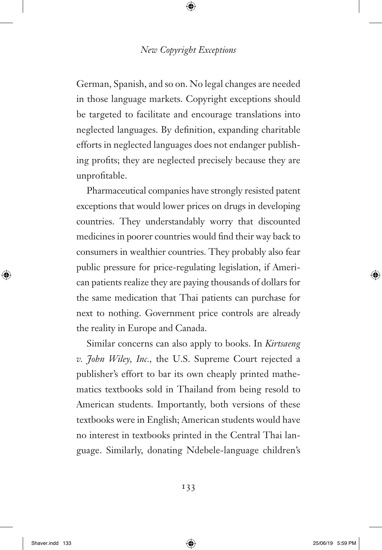German, Spanish, and so on. No legal changes are needed in those language markets. Copyright exceptions should be targeted to facilitate and encourage translations into neglected languages. By definition, expanding charitable efforts in neglected languages does not endanger publishing profits; they are neglected precisely because they are unprofitable.

Pharmaceutical companies have strongly resisted patent exceptions that would lower prices on drugs in developing countries. They understandably worry that discounted medicines in poorer countries would find their way back to consumers in wealthier countries. They probably also fear public pressure for price-regulating legislation, if American patients realize they are paying thousands of dollars for the same medication that Thai patients can purchase for next to nothing. Government price controls are already the reality in Europe and Canada.

Similar concerns can also apply to books. In *Kirtsaeng v. John Wiley, Inc.,* the U.S. Supreme Court rejected a publisher's effort to bar its own cheaply printed mathematics textbooks sold in Thailand from being resold to American students. Importantly, both versions of these textbooks were in English; American students would have no interest in textbooks printed in the Central Thai language. Similarly, donating Ndebele-language children's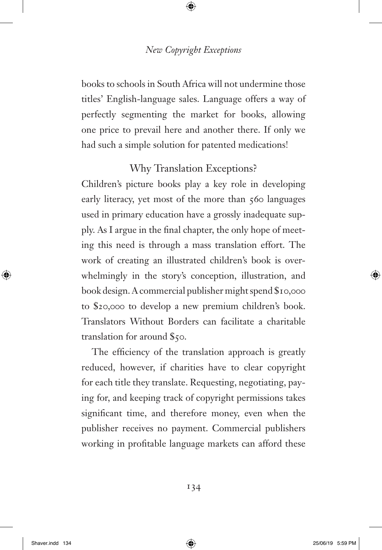books to schools in South Africa will not undermine those titles' English-language sales. Language offers a way of perfectly segmenting the market for books, allowing one price to prevail here and another there. If only we had such a simple solution for patented medications!

# Why Translation Exceptions?

Children's picture books play a key role in developing early literacy, yet most of the more than 560 languages used in primary education have a grossly inadequate supply. As I argue in the final chapter, the only hope of meeting this need is through a mass translation effort. The work of creating an illustrated children's book is overwhelmingly in the story's conception, illustration, and book design. A commercial publisher might spend \$10,000 to \$20,000 to develop a new premium children's book. Translators Without Borders can facilitate a charitable translation for around \$50.

The efficiency of the translation approach is greatly reduced, however, if charities have to clear copyright for each title they translate. Requesting, negotiating, paying for, and keeping track of copyright permissions takes significant time, and therefore money, even when the publisher receives no payment. Commercial publishers working in profitable language markets can afford these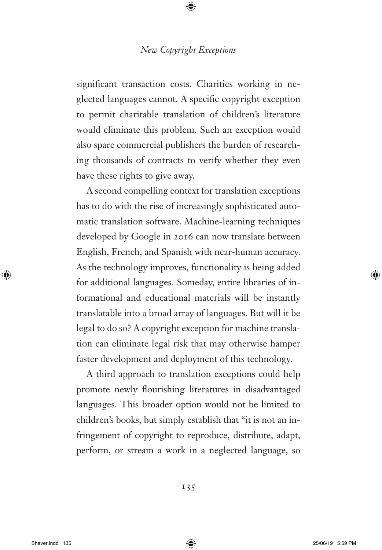significant transaction costs. Charities working in neglected languages cannot. A specific copyright exception to permit charitable translation of children's literature would eliminate this problem. Such an exception would also spare commercial publishers the burden of researching thousands of contracts to verify whether they even have these rights to give away.

A second compelling context for translation exceptions has to do with the rise of increasingly sophisticated automatic translation software. Machine-learning techniques developed by Google in 2016 can now translate between English, French, and Spanish with near-human accuracy. As the technology improves, functionality is being added for additional languages. Someday, entire libraries of informational and educational materials will be instantly translatable into a broad array of languages. But will it be legal to do so? A copyright exception for machine translation can eliminate legal risk that may otherwise hamper faster development and deployment of this technology.

A third approach to translation exceptions could help promote newly flourishing literatures in disadvantaged languages. This broader option would not be limited to children's books, but simply establish that "it is not an infringement of copyright to reproduce, distribute, adapt, perform, or stream a work in a neglected language, so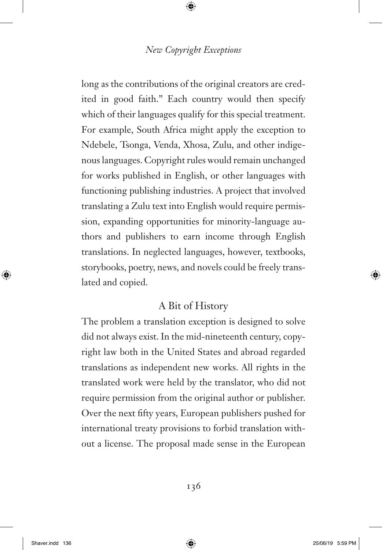long as the contributions of the original creators are credited in good faith." Each country would then specify which of their languages qualify for this special treatment. For example, South Africa might apply the exception to Ndebele, Tsonga, Venda, Xhosa, Zulu, and other indigenous languages. Copyright rules would remain unchanged for works published in English, or other languages with functioning publishing industries. A project that involved translating a Zulu text into English would require permission, expanding opportunities for minority-language authors and publishers to earn income through English translations. In neglected languages, however, textbooks, storybooks, poetry, news, and novels could be freely translated and copied.

# A Bit of History

The problem a translation exception is designed to solve did not always exist. In the mid-nineteenth century, copyright law both in the United States and abroad regarded translations as independent new works. All rights in the translated work were held by the translator, who did not require permission from the original author or publisher. Over the next fifty years, European publishers pushed for international treaty provisions to forbid translation without a license. The proposal made sense in the European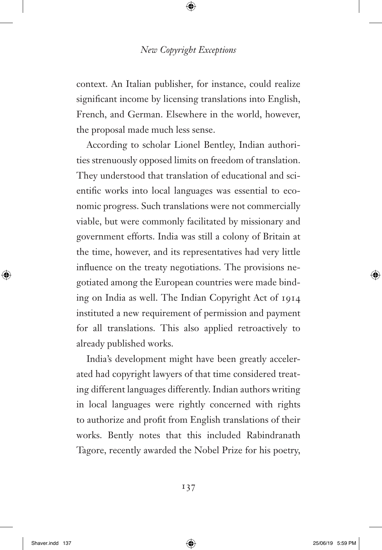context. An Italian publisher, for instance, could realize significant income by licensing translations into English, French, and German. Elsewhere in the world, however, the proposal made much less sense.

According to scholar Lionel Bentley, Indian authorities strenuously opposed limits on freedom of translation. They understood that translation of educational and scientific works into local languages was essential to economic progress. Such translations were not commercially viable, but were commonly facilitated by missionary and government efforts. India was still a colony of Britain at the time, however, and its representatives had very little influence on the treaty negotiations. The provisions negotiated among the European countries were made binding on India as well. The Indian Copyright Act of 1914 instituted a new requirement of permission and payment for all translations. This also applied retroactively to already published works.

India's development might have been greatly accelerated had copyright lawyers of that time considered treating different languages differently. Indian authors writing in local languages were rightly concerned with rights to authorize and profit from English translations of their works. Bently notes that this included Rabindranath Tagore, recently awarded the Nobel Prize for his poetry,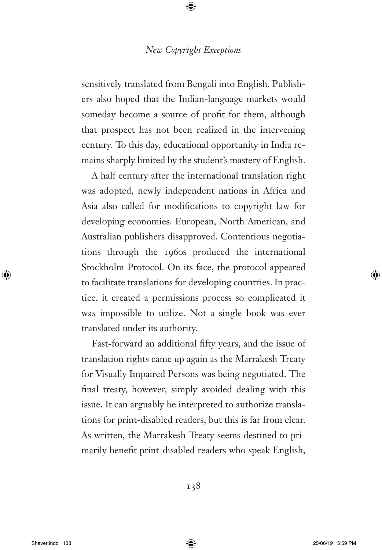sensitively translated from Bengali into English. Publishers also hoped that the Indian-language markets would someday become a source of profit for them, although that prospect has not been realized in the intervening century. To this day, educational opportunity in India remains sharply limited by the student's mastery of English.

A half century after the international translation right was adopted, newly independent nations in Africa and Asia also called for modifications to copyright law for developing economies. European, North American, and Australian publishers disapproved. Contentious negotiations through the 1960s produced the international Stockholm Protocol. On its face, the protocol appeared to facilitate translations for developing countries. In practice, it created a permissions process so complicated it was impossible to utilize. Not a single book was ever translated under its authority.

Fast-forward an additional fifty years, and the issue of translation rights came up again as the Marrakesh Treaty for Visually Impaired Persons was being negotiated. The final treaty, however, simply avoided dealing with this issue. It can arguably be interpreted to authorize translations for print-disabled readers, but this is far from clear. As written, the Marrakesh Treaty seems destined to primarily benefit print-disabled readers who speak English,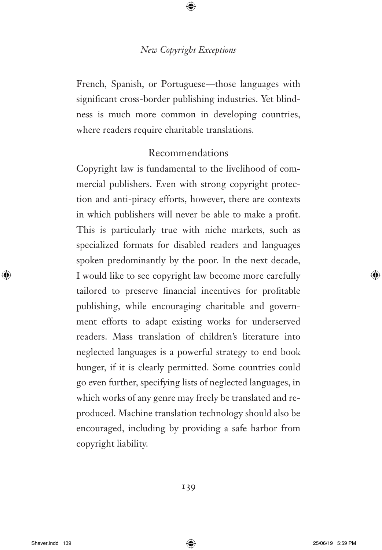French, Spanish, or Portuguese—those languages with significant cross-border publishing industries. Yet blindness is much more common in developing countries, where readers require charitable translations.

# Recommendations

Copyright law is fundamental to the livelihood of commercial publishers. Even with strong copyright protection and anti-piracy efforts, however, there are contexts in which publishers will never be able to make a profit. This is particularly true with niche markets, such as specialized formats for disabled readers and languages spoken predominantly by the poor. In the next decade, I would like to see copyright law become more carefully tailored to preserve financial incentives for profitable publishing, while encouraging charitable and government efforts to adapt existing works for underserved readers. Mass translation of children's literature into neglected languages is a powerful strategy to end book hunger, if it is clearly permitted. Some countries could go even further, specifying lists of neglected languages, in which works of any genre may freely be translated and reproduced. Machine translation technology should also be encouraged, including by providing a safe harbor from copyright liability.